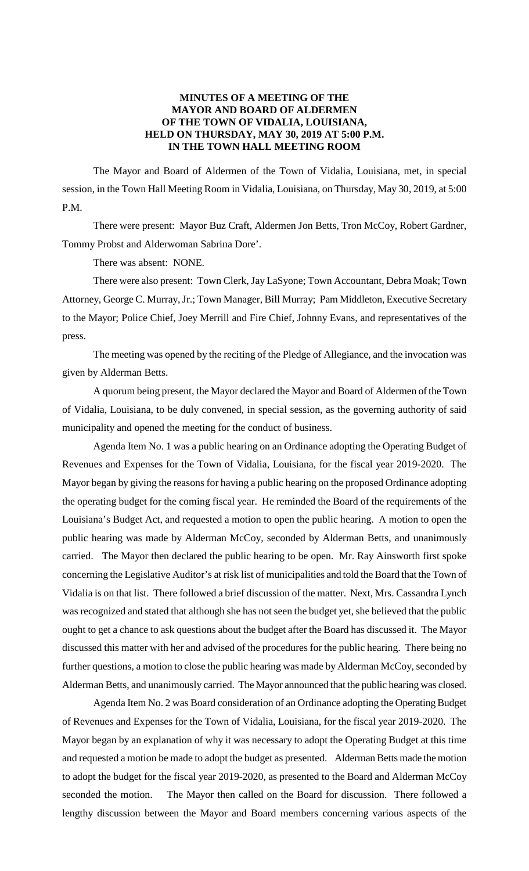# **MINUTES OF A MEETING OF THE MAYOR AND BOARD OF ALDERMEN OF THE TOWN OF VIDALIA, LOUISIANA, HELD ON THURSDAY, MAY 30, 2019 AT 5:00 P.M. IN THE TOWN HALL MEETING ROOM**

The Mayor and Board of Aldermen of the Town of Vidalia, Louisiana, met, in special session, in the Town Hall Meeting Room in Vidalia, Louisiana, on Thursday, May 30, 2019, at 5:00 P.M.

There were present: Mayor Buz Craft, Aldermen Jon Betts, Tron McCoy, Robert Gardner, Tommy Probst and Alderwoman Sabrina Dore'.

There was absent: NONE.

There were also present: Town Clerk, Jay LaSyone; Town Accountant, Debra Moak; Town Attorney, George C. Murray, Jr.; Town Manager, Bill Murray; Pam Middleton, Executive Secretary to the Mayor; Police Chief, Joey Merrill and Fire Chief, Johnny Evans, and representatives of the press.

The meeting was opened by the reciting of the Pledge of Allegiance, and the invocation was given by Alderman Betts.

A quorum being present, the Mayor declared the Mayor and Board of Aldermen of the Town of Vidalia, Louisiana, to be duly convened, in special session, as the governing authority of said municipality and opened the meeting for the conduct of business.

Agenda Item No. 1 was a public hearing on an Ordinance adopting the Operating Budget of Revenues and Expenses for the Town of Vidalia, Louisiana, for the fiscal year 2019-2020. The Mayor began by giving the reasons for having a public hearing on the proposed Ordinance adopting the operating budget for the coming fiscal year. He reminded the Board of the requirements of the Louisiana's Budget Act, and requested a motion to open the public hearing. A motion to open the public hearing was made by Alderman McCoy, seconded by Alderman Betts, and unanimously carried. The Mayor then declared the public hearing to be open. Mr. Ray Ainsworth first spoke concerning the Legislative Auditor's at risk list of municipalities and told the Board that the Town of Vidalia is on that list. There followed a brief discussion of the matter. Next, Mrs. Cassandra Lynch was recognized and stated that although she has not seen the budget yet, she believed that the public ought to get a chance to ask questions about the budget after the Board has discussed it. The Mayor discussed this matter with her and advised of the procedures for the public hearing. There being no further questions, a motion to close the public hearing was made by Alderman McCoy, seconded by Alderman Betts, and unanimously carried. The Mayor announced that the public hearing was closed.

Agenda Item No. 2 was Board consideration of an Ordinance adopting the Operating Budget of Revenues and Expenses for the Town of Vidalia, Louisiana, for the fiscal year 2019-2020. The Mayor began by an explanation of why it was necessary to adopt the Operating Budget at this time and requested a motion be made to adopt the budget as presented. Alderman Betts made the motion to adopt the budget for the fiscal year 2019-2020, as presented to the Board and Alderman McCoy seconded the motion. The Mayor then called on the Board for discussion. There followed a lengthy discussion between the Mayor and Board members concerning various aspects of the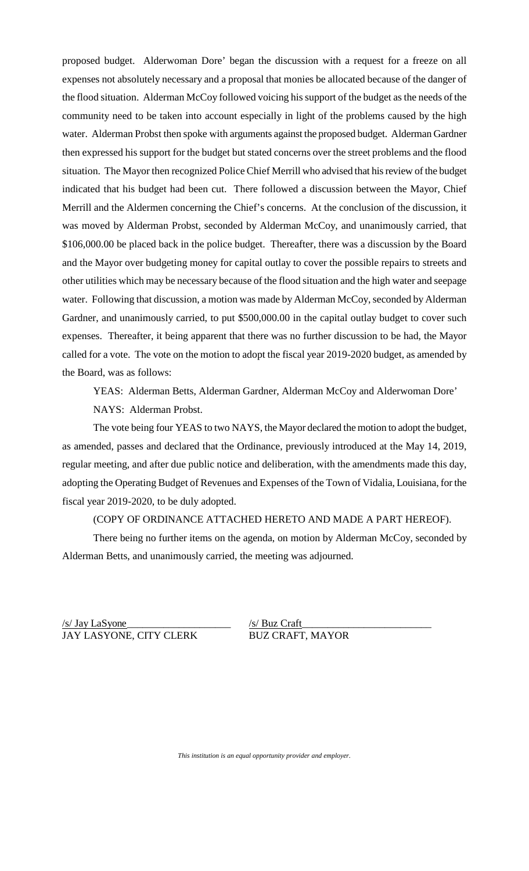proposed budget. Alderwoman Dore' began the discussion with a request for a freeze on all expenses not absolutely necessary and a proposal that monies be allocated because of the danger of the flood situation. Alderman McCoy followed voicing his support of the budget as the needs of the community need to be taken into account especially in light of the problems caused by the high water. Alderman Probst then spoke with arguments against the proposed budget. Alderman Gardner then expressed his support for the budget but stated concerns over the street problems and the flood situation. The Mayor then recognized Police Chief Merrill who advised that his review of the budget indicated that his budget had been cut. There followed a discussion between the Mayor, Chief Merrill and the Aldermen concerning the Chief's concerns. At the conclusion of the discussion, it was moved by Alderman Probst, seconded by Alderman McCoy, and unanimously carried, that \$106,000.00 be placed back in the police budget. Thereafter, there was a discussion by the Board and the Mayor over budgeting money for capital outlay to cover the possible repairs to streets and other utilities which may be necessary because of the flood situation and the high water and seepage water. Following that discussion, a motion was made by Alderman McCoy, seconded by Alderman Gardner, and unanimously carried, to put \$500,000.00 in the capital outlay budget to cover such expenses. Thereafter, it being apparent that there was no further discussion to be had, the Mayor called for a vote. The vote on the motion to adopt the fiscal year 2019-2020 budget, as amended by the Board, was as follows:

YEAS: Alderman Betts, Alderman Gardner, Alderman McCoy and Alderwoman Dore' NAYS: Alderman Probst.

The vote being four YEAS to two NAYS, the Mayor declared the motion to adopt the budget, as amended, passes and declared that the Ordinance, previously introduced at the May 14, 2019, regular meeting, and after due public notice and deliberation, with the amendments made this day, adopting the Operating Budget of Revenues and Expenses of the Town of Vidalia, Louisiana, for the fiscal year 2019-2020, to be duly adopted.

### (COPY OF ORDINANCE ATTACHED HERETO AND MADE A PART HEREOF).

There being no further items on the agenda, on motion by Alderman McCoy, seconded by Alderman Betts, and unanimously carried, the meeting was adjourned.

/s/ Jay LaSyone\_\_\_\_\_\_\_\_\_\_\_\_\_\_\_\_\_\_\_\_ /s/ Buz Craft JAY LASYONE, CITY CLERK BUZ CRAFT, MAYOR

\_\_\_\_\_\_\_\_\_\_\_\_\_\_\_\_\_\_\_\_\_\_\_\_\_